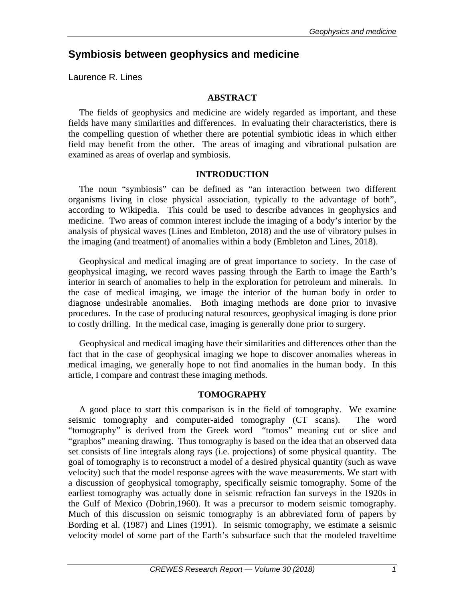# **Symbiosis between geophysics and medicine**

Laurence R. Lines

## **ABSTRACT**

The fields of geophysics and medicine are widely regarded as important, and these fields have many similarities and differences. In evaluating their characteristics, there is the compelling question of whether there are potential symbiotic ideas in which either field may benefit from the other. The areas of imaging and vibrational pulsation are examined as areas of overlap and symbiosis.

# **INTRODUCTION**

The noun "symbiosis" can be defined as "an interaction between two different organisms living in close physical association, typically to the advantage of both", according to Wikipedia. This could be used to describe advances in geophysics and medicine. Two areas of common interest include the imaging of a body's interior by the analysis of physical waves (Lines and Embleton, 2018) and the use of vibratory pulses in the imaging (and treatment) of anomalies within a body (Embleton and Lines, 2018).

Geophysical and medical imaging are of great importance to society. In the case of geophysical imaging, we record waves passing through the Earth to image the Earth's interior in search of anomalies to help in the exploration for petroleum and minerals. In the case of medical imaging, we image the interior of the human body in order to diagnose undesirable anomalies. Both imaging methods are done prior to invasive procedures. In the case of producing natural resources, geophysical imaging is done prior to costly drilling. In the medical case, imaging is generally done prior to surgery.

Geophysical and medical imaging have their similarities and differences other than the fact that in the case of geophysical imaging we hope to discover anomalies whereas in medical imaging, we generally hope to not find anomalies in the human body. In this article, I compare and contrast these imaging methods.

### **TOMOGRAPHY**

A good place to start this comparison is in the field of tomography. We examine seismic tomography and computer-aided tomography (CT scans). The word "tomography" is derived from the Greek word "tomos" meaning cut or slice and "graphos" meaning drawing. Thus tomography is based on the idea that an observed data set consists of line integrals along rays (i.e. projections) of some physical quantity. The goal of tomography is to reconstruct a model of a desired physical quantity (such as wave velocity) such that the model response agrees with the wave measurements. We start with a discussion of geophysical tomography, specifically seismic tomography. Some of the earliest tomography was actually done in seismic refraction fan surveys in the 1920s in the Gulf of Mexico (Dobrin,1960). It was a precursor to modern seismic tomography. Much of this discussion on seismic tomography is an abbreviated form of papers by Bording et al. (1987) and Lines (1991). In seismic tomography, we estimate a seismic velocity model of some part of the Earth's subsurface such that the modeled traveltime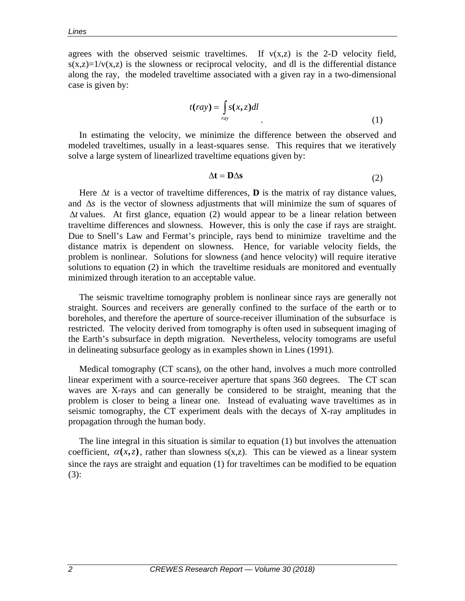agrees with the observed seismic traveltimes. If  $v(x,z)$  is the 2-D velocity field,  $s(x,z)=1/v(x,z)$  is the slowness or reciprocal velocity, and dl is the differential distance along the ray, the modeled traveltime associated with a given ray in a two-dimensional case is given by:

$$
t(ray) = \int_{ray} s(x, z)dl
$$
 (1)

In estimating the velocity, we minimize the difference between the observed and modeled traveltimes, usually in a least-squares sense. This requires that we iteratively solve a large system of linearlized traveltime equations given by:

$$
\Delta t = D \Delta s \tag{2}
$$

Here  $\Delta t$  is a vector of traveltime differences, **D** is the matrix of ray distance values, and ∆*s* is the vector of slowness adjustments that will minimize the sum of squares of ∆*t* values. At first glance, equation (2) would appear to be a linear relation between traveltime differences and slowness. However, this is only the case if rays are straight. Due to Snell's Law and Fermat's principle, rays bend to minimize traveltime and the distance matrix is dependent on slowness. Hence, for variable velocity fields, the problem is nonlinear. Solutions for slowness (and hence velocity) will require iterative solutions to equation (2) in which the traveltime residuals are monitored and eventually minimized through iteration to an acceptable value.

The seismic traveltime tomography problem is nonlinear since rays are generally not straight. Sources and receivers are generally confined to the surface of the earth or to boreholes, and therefore the aperture of source-receiver illumination of the subsurface is restricted. The velocity derived from tomography is often used in subsequent imaging of the Earth's subsurface in depth migration. Nevertheless, velocity tomograms are useful in delineating subsurface geology as in examples shown in Lines (1991).

Medical tomography (CT scans), on the other hand, involves a much more controlled linear experiment with a source-receiver aperture that spans 360 degrees. The CT scan waves are X-rays and can generally be considered to be straight, meaning that the problem is closer to being a linear one. Instead of evaluating wave traveltimes as in seismic tomography, the CT experiment deals with the decays of X-ray amplitudes in propagation through the human body.

The line integral in this situation is similar to equation (1) but involves the attenuation coefficient,  $\alpha(x, z)$ , rather than slowness s(x,z). This can be viewed as a linear system since the rays are straight and equation (1) for traveltimes can be modified to be equation (3):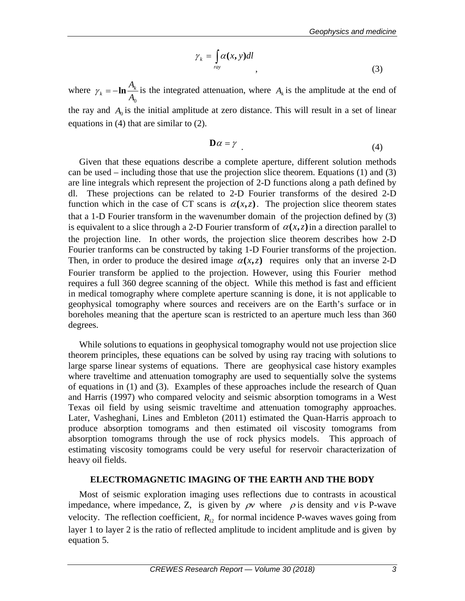$$
\gamma_k = \int_{ray} \alpha(x, y) dl
$$
\n(3)

where  $A^0_0$  $\gamma_k = -\ln \frac{A_k}{A}$  is the integrated attenuation, where  $A_k$  is the amplitude at the end of the ray and  $A_0$  is the initial amplitude at zero distance. This will result in a set of linear equations in (4) that are similar to (2).

$$
\mathbf{D}\alpha = \gamma \tag{4}
$$

Given that these equations describe a complete aperture, different solution methods can be used – including those that use the projection slice theorem. Equations (1) and (3) are line integrals which represent the projection of 2-D functions along a path defined by dl. These projections can be related to 2-D Fourier transforms of the desired 2-D function which in the case of CT scans is  $\alpha(x, z)$ . The projection slice theorem states that a 1-D Fourier transform in the wavenumber domain of the projection defined by (3) is equivalent to a slice through a 2-D Fourier transform of  $\alpha(x, z)$  in a direction parallel to the projection line. In other words, the projection slice theorem describes how 2-D Fourier tranforms can be constructed by taking 1-D Fourier transforms of the projection. Then, in order to produce the desired image  $\alpha(x, z)$  requires only that an inverse 2-D Fourier transform be applied to the projection. However, using this Fourier method requires a full 360 degree scanning of the object. While this method is fast and efficient in medical tomography where complete aperture scanning is done, it is not applicable to geophysical tomography where sources and receivers are on the Earth's surface or in boreholes meaning that the aperture scan is restricted to an aperture much less than 360 degrees.

While solutions to equations in geophysical tomography would not use projection slice theorem principles, these equations can be solved by using ray tracing with solutions to large sparse linear systems of equations. There are geophysical case history examples where traveltime and attenuation tomography are used to sequentially solve the systems of equations in (1) and (3). Examples of these approaches include the research of Quan and Harris (1997) who compared velocity and seismic absorption tomograms in a West Texas oil field by using seismic traveltime and attenuation tomography approaches. Later, Vasheghani, Lines and Embleton (2011) estimated the Quan-Harris approach to produce absorption tomograms and then estimated oil viscosity tomograms from absorption tomograms through the use of rock physics models. This approach of estimating viscosity tomograms could be very useful for reservoir characterization of heavy oil fields.

### **ELECTROMAGNETIC IMAGING OF THE EARTH AND THE BODY**

Most of seismic exploration imaging uses reflections due to contrasts in acoustical impedance, where impedance, Z, is given by  $\rho v$  where  $\rho$  is density and *v* is P-wave velocity. The reflection coefficient,  $R_{12}$  for normal incidence P-waves waves going from layer 1 to layer 2 is the ratio of reflected amplitude to incident amplitude and is given by equation 5.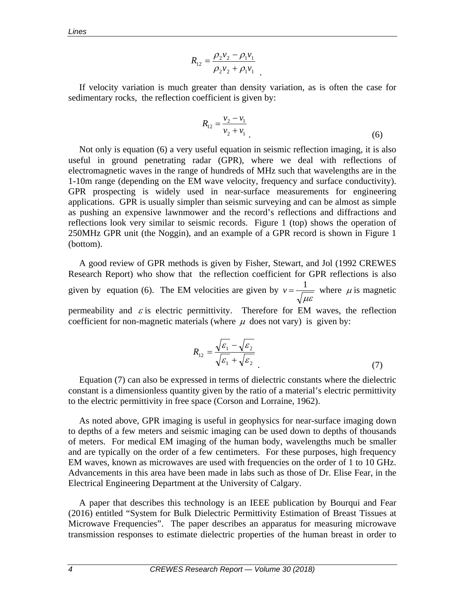$$
R_{12} = \frac{\rho_2 v_2 - \rho_1 v_1}{\rho_2 v_2 + \rho_1 v_1}
$$

If velocity variation is much greater than density variation, as is often the case for sedimentary rocks, the reflection coefficient is given by:

.

$$
R_{12} = \frac{v_2 - v_1}{v_2 + v_1} \tag{6}
$$

Not only is equation (6) a very useful equation in seismic reflection imaging, it is also useful in ground penetrating radar (GPR), where we deal with reflections of electromagnetic waves in the range of hundreds of MHz such that wavelengths are in the 1-10m range (depending on the EM wave velocity, frequency and surface conductivity). GPR prospecting is widely used in near-surface measurements for engineering applications. GPR is usually simpler than seismic surveying and can be almost as simple as pushing an expensive lawnmower and the record's reflections and diffractions and reflections look very similar to seismic records. Figure 1 (top) shows the operation of 250MHz GPR unit (the Noggin), and an example of a GPR record is shown in Figure 1 (bottom).

A good review of GPR methods is given by Fisher, Stewart, and Jol (1992 CREWES Research Report) who show that the reflection coefficient for GPR reflections is also given by equation (6). The EM velocities are given by µε  $v = \frac{1}{\sqrt{2}}$  where  $\mu$  is magnetic permeability and  $\varepsilon$  is electric permittivity. Therefore for EM waves, the reflection coefficient for non-magnetic materials (where  $\mu$  does not vary) is given by:

$$
R_{12} = \frac{\sqrt{\varepsilon_1} - \sqrt{\varepsilon_2}}{\sqrt{\varepsilon_1} + \sqrt{\varepsilon_2}}\tag{7}
$$

Equation (7) can also be expressed in terms of dielectric constants where the dielectric constant is a dimensionless quantity given by the ratio of a material's electric permittivity to the electric permittivity in free space (Corson and Lorraine, 1962).

As noted above, GPR imaging is useful in geophysics for near-surface imaging down to depths of a few meters and seismic imaging can be used down to depths of thousands of meters. For medical EM imaging of the human body, wavelengths much be smaller and are typically on the order of a few centimeters. For these purposes, high frequency EM waves, known as microwaves are used with frequencies on the order of 1 to 10 GHz. Advancements in this area have been made in labs such as those of Dr. Elise Fear, in the Electrical Engineering Department at the University of Calgary.

A paper that describes this technology is an IEEE publication by Bourqui and Fear (2016) entitled "System for Bulk Dielectric Permittivity Estimation of Breast Tissues at Microwave Frequencies". The paper describes an apparatus for measuring microwave transmission responses to estimate dielectric properties of the human breast in order to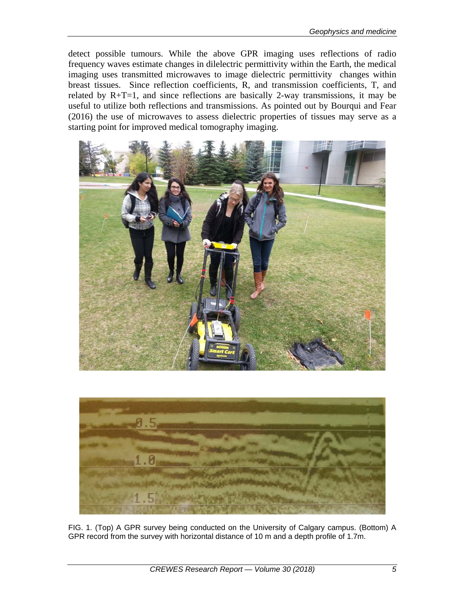detect possible tumours. While the above GPR imaging uses reflections of radio frequency waves estimate changes in dilelectric permittivity within the Earth, the medical imaging uses transmitted microwaves to image dielectric permittivity changes within breast tissues. Since reflection coefficients, R, and transmission coefficients, T, and related by  $R+T=1$ , and since reflections are basically 2-way transmissions, it may be useful to utilize both reflections and transmissions. As pointed out by Bourqui and Fear (2016) the use of microwaves to assess dielectric properties of tissues may serve as a starting point for improved medical tomography imaging.





FIG. 1. (Top) A GPR survey being conducted on the University of Calgary campus. (Bottom) A GPR record from the survey with horizontal distance of 10 m and a depth profile of 1.7m.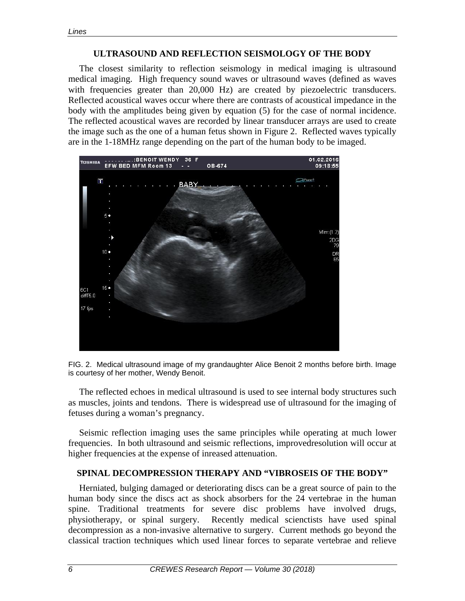#### **ULTRASOUND AND REFLECTION SEISMOLOGY OF THE BODY**

The closest similarity to reflection seismology in medical imaging is ultrasound medical imaging. High frequency sound waves or ultrasound waves (defined as waves with frequencies greater than 20,000 Hz) are created by piezoelectric transducers. Reflected acoustical waves occur where there are contrasts of acoustical impedance in the body with the amplitudes being given by equation (5) for the case of normal incidence. The reflected acoustical waves are recorded by linear transducer arrays are used to create the image such as the one of a human fetus shown in Figure 2. Reflected waves typically are in the 1-18MHz range depending on the part of the human body to be imaged.





The reflected echoes in medical ultrasound is used to see internal body structures such as muscles, joints and tendons. There is widespread use of ultrasound for the imaging of fetuses during a woman's pregnancy.

Seismic reflection imaging uses the same principles while operating at much lower frequencies. In both ultrasound and seismic reflections, improvedresolution will occur at higher frequencies at the expense of inreased attenuation.

### **SPINAL DECOMPRESSION THERAPY AND "VIBROSEIS OF THE BODY"**

Herniated, bulging damaged or deteriorating discs can be a great source of pain to the human body since the discs act as shock absorbers for the 24 vertebrae in the human spine. Traditional treatments for severe disc problems have involved drugs, physiotherapy, or spinal surgery. Recently medical scienctists have used spinal decompression as a non-invasive alternative to surgery. Current methods go beyond the classical traction techniques which used linear forces to separate vertebrae and relieve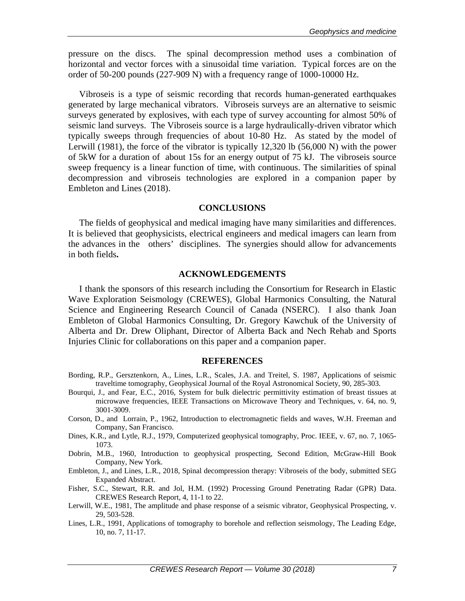pressure on the discs. The spinal decompression method uses a combination of horizontal and vector forces with a sinusoidal time variation. Typical forces are on the order of 50-200 pounds (227-909 N) with a frequency range of 1000-10000 Hz.

Vibroseis is a type of seismic recording that records human-generated earthquakes generated by large mechanical vibrators. Vibroseis surveys are an alternative to seismic surveys generated by explosives, with each type of survey accounting for almost 50% of seismic land surveys. The Vibroseis source is a large hydraulically-driven vibrator which typically sweeps through frequencies of about 10-80 Hz. As stated by the model of Lerwill (1981), the force of the vibrator is typically 12,320 lb (56,000 N) with the power of 5kW for a duration of about 15s for an energy output of 75 kJ. The vibroseis source sweep frequency is a linear function of time, with continuous. The similarities of spinal decompression and vibroseis technologies are explored in a companion paper by Embleton and Lines (2018).

#### **CONCLUSIONS**

The fields of geophysical and medical imaging have many similarities and differences. It is believed that geophysicists, electrical engineers and medical imagers can learn from the advances in the others' disciplines. The synergies should allow for advancements in both fields**.**

#### **ACKNOWLEDGEMENTS**

I thank the sponsors of this research including the Consortium for Research in Elastic Wave Exploration Seismology (CREWES), Global Harmonics Consulting, the Natural Science and Engineering Research Council of Canada (NSERC). I also thank Joan Embleton of Global Harmonics Consulting, Dr. Gregory Kawchuk of the University of Alberta and Dr. Drew Oliphant, Director of Alberta Back and Nech Rehab and Sports Injuries Clinic for collaborations on this paper and a companion paper.

#### **REFERENCES**

- Bording, R.P., Gersztenkorn, A., Lines, L.R., Scales, J.A. and Treitel, S. 1987, Applications of seismic traveltime tomography, Geophysical Journal of the Royal Astronomical Society, 90, 285-303.
- Bourqui, J., and Fear, E.C., 2016, System for bulk dielectric permittivity estimation of breast tissues at microwave frequencies, IEEE Transactions on Microwave Theory and Techniques, v. 64, no. 9, 3001-3009.
- Corson, D., and Lorrain, P., 1962, Introduction to electromagnetic fields and waves, W.H. Freeman and Company, San Francisco.
- Dines, K.R., and Lytle, R.J., 1979, Computerized geophysical tomography, Proc. IEEE, v. 67, no. 7, 1065- 1073.
- Dobrin, M.B., 1960, Introduction to geophysical prospecting, Second Edition, McGraw-Hill Book Company, New York.
- Embleton, J., and Lines, L.R., 2018, Spinal decompression therapy: Vibroseis of the body, submitted SEG Expanded Abstract.
- Fisher, S.C., Stewart, R.R. and Jol, H.M. (1992) Processing Ground Penetrating Radar (GPR) Data. CREWES Research Report, 4, 11-1 to 22.
- Lerwill, W.E., 1981, The amplitude and phase response of a seismic vibrator, Geophysical Prospecting, v. 29, 503-528.
- Lines, L.R., 1991, Applications of tomography to borehole and reflection seismology, The Leading Edge, 10, no. 7, 11-17.